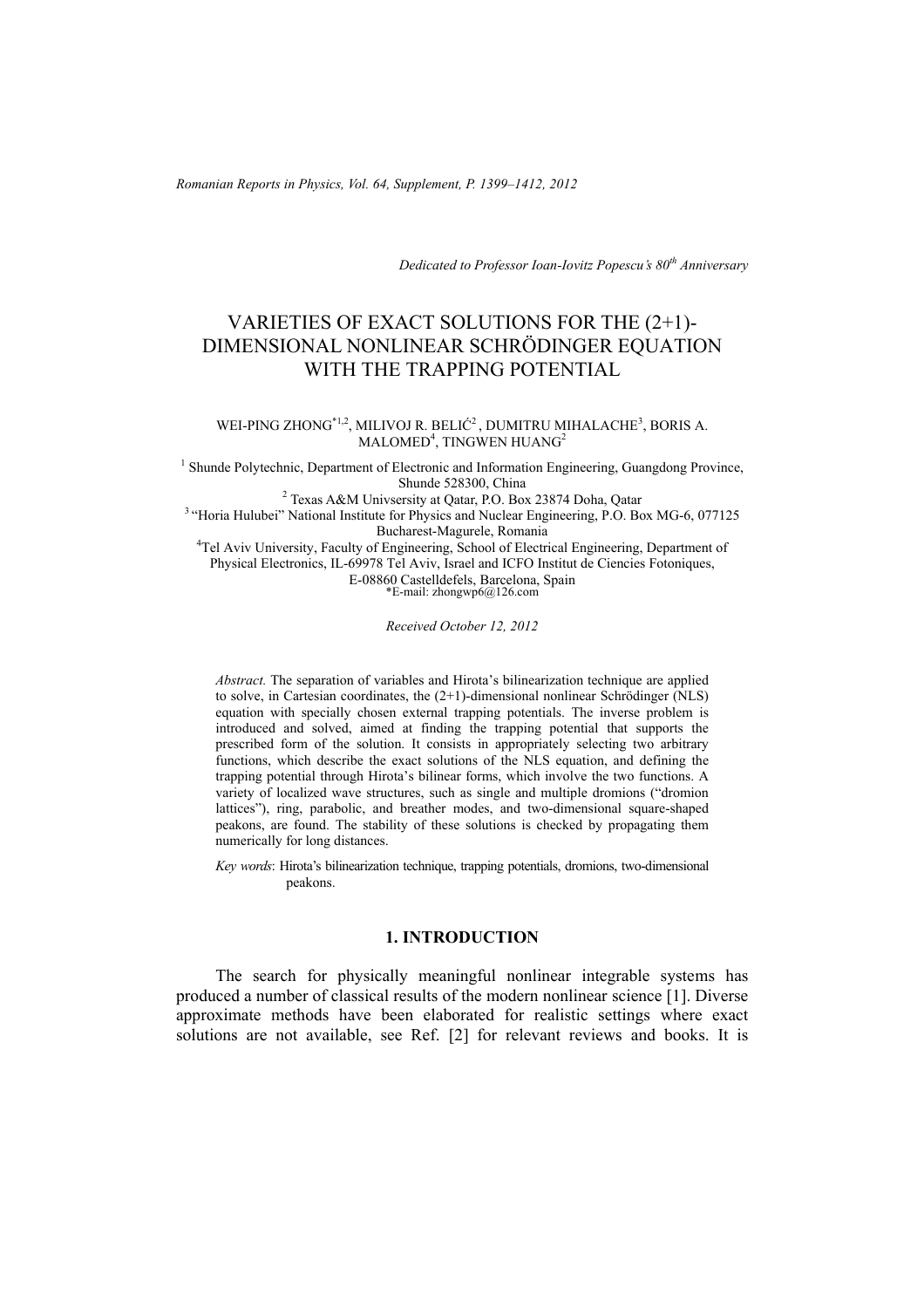*Romanian Reports in Physics, Vol. 64, Supplement, P. 1399–1412, 2012*

*Dedicated to Professor Ioan-Iovitz Popescu's 80th Anniversary*

# VARIETIES OF EXACT SOLUTIONS FOR THE (2+1)- DIMENSIONAL NONLINEAR SCHRÖDINGER EQUATION WITH THE TRAPPING POTENTIAL

#### WEI-PING ZHONG<sup>\*1,2</sup>, MILIVOJ R. BELIĆ<sup>2</sup>, DUMITRU MIHALACHE<sup>3</sup>, BORIS A.  $\mathrm{MALOMED}^4$ , TINGWEN HUANG $^2$

<sup>1</sup> Shunde Polytechnic, Department of Electronic and Information Engineering, Guangdong Province, Shunde 528300, China<br><sup>2</sup> Texas A&M Univsersity at Qatar, P.O. Box 23874 Doha, Qatar

<sup>3</sup> "Horia Hulubei" National Institute for Physics and Nuclear Engineering, P.O. Box MG-6, 077125 Bucharest-Magurele, Romania<br><sup>4</sup>Tel Aviv University, Faculty of Engineering, School of Electrical Engineering, Department of

Physical Electronics, IL-69978 Tel Aviv, Israel and ICFO Institut de Ciencies Fotoniques, E-08860 Castelldefels, Barcelona, Spain  $E$ -mail: zhongwp6@126.com

*Received October 12, 2012* 

*Abstract.* The separation of variables and Hirota's bilinearization technique are applied to solve, in Cartesian coordinates, the (2+1)-dimensional nonlinear Schrödinger (NLS) equation with specially chosen external trapping potentials. The inverse problem is introduced and solved, aimed at finding the trapping potential that supports the prescribed form of the solution. It consists in appropriately selecting two arbitrary functions, which describe the exact solutions of the NLS equation, and defining the trapping potential through Hirota's bilinear forms, which involve the two functions. A variety of localized wave structures, such as single and multiple dromions ("dromion lattices"), ring, parabolic, and breather modes, and two-dimensional square-shaped peakons, are found. The stability of these solutions is checked by propagating them numerically for long distances.

*Key words*: Hirota's bilinearization technique, trapping potentials, dromions, two-dimensional peakons.

### **1. INTRODUCTION**

The search for physically meaningful nonlinear integrable systems has produced a number of classical results of the modern nonlinear science [1]. Diverse approximate methods have been elaborated for realistic settings where exact solutions are not available, see Ref. [2] for relevant reviews and books. It is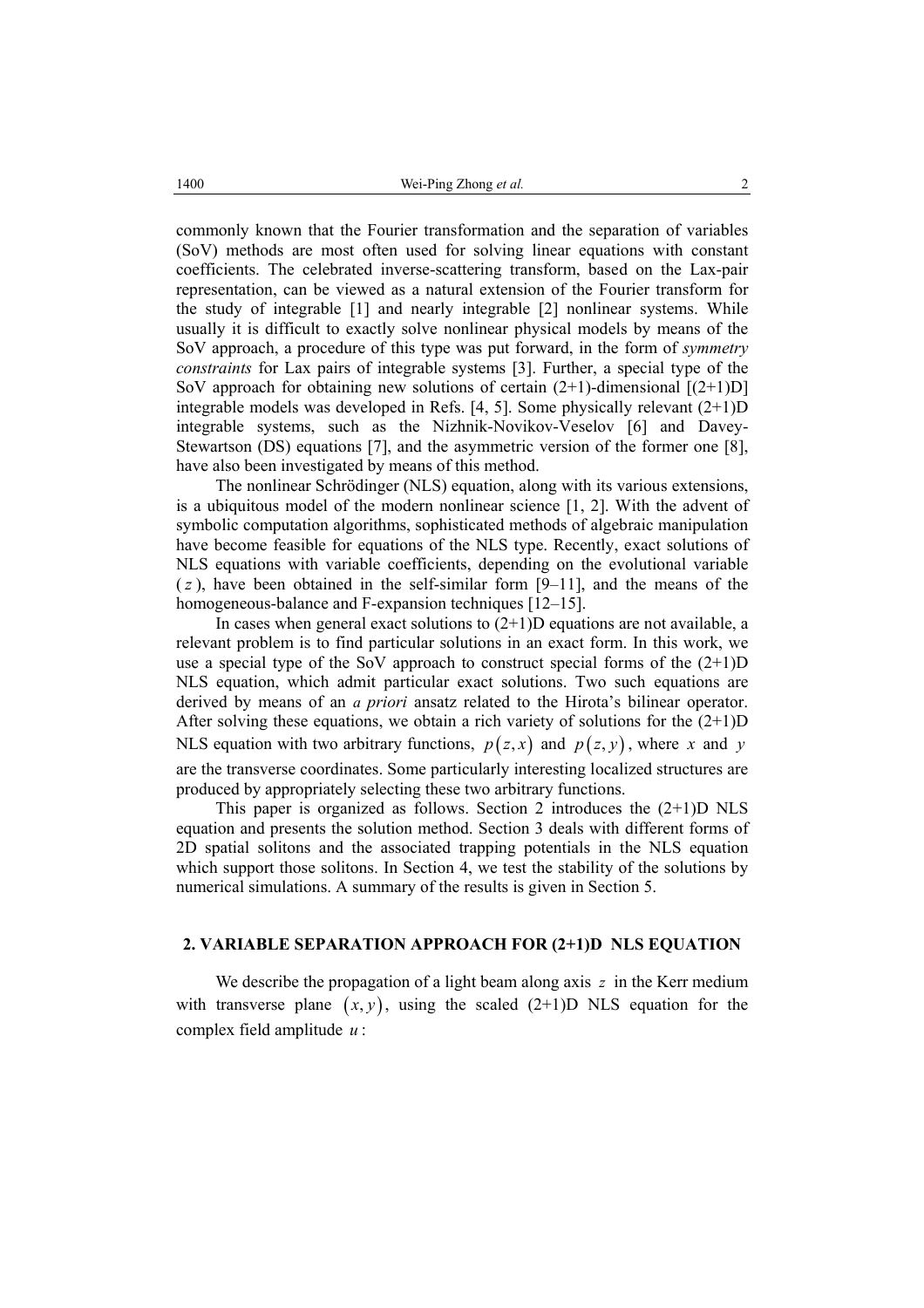commonly known that the Fourier transformation and the separation of variables (SoV) methods are most often used for solving linear equations with constant coefficients. The celebrated inverse-scattering transform, based on the Lax-pair representation, can be viewed as a natural extension of the Fourier transform for the study of integrable [1] and nearly integrable [2] nonlinear systems. While usually it is difficult to exactly solve nonlinear physical models by means of the SoV approach, a procedure of this type was put forward, in the form of *symmetry constraints* for Lax pairs of integrable systems [3]. Further, a special type of the SoV approach for obtaining new solutions of certain  $(2+1)$ -dimensional  $[(2+1)D]$ integrable models was developed in Refs. [4, 5]. Some physically relevant (2+1)D integrable systems, such as the Nizhnik-Novikov-Veselov [6] and Davey-Stewartson (DS) equations [7], and the asymmetric version of the former one [8], have also been investigated by means of this method.

The nonlinear Schrödinger (NLS) equation, along with its various extensions, is a ubiquitous model of the modern nonlinear science [1, 2]. With the advent of symbolic computation algorithms, sophisticated methods of algebraic manipulation have become feasible for equations of the NLS type. Recently, exact solutions of NLS equations with variable coefficients, depending on the evolutional variable  $(z)$ , have been obtained in the self-similar form  $[9-11]$ , and the means of the homogeneous-balance and F-expansion techniques [12–15].

In cases when general exact solutions to  $(2+1)D$  equations are not available, a relevant problem is to find particular solutions in an exact form. In this work, we use a special type of the SoV approach to construct special forms of the  $(2+1)D$ NLS equation, which admit particular exact solutions. Two such equations are derived by means of an *a priori* ansatz related to the Hirota's bilinear operator. After solving these equations, we obtain a rich variety of solutions for the  $(2+1)D$ NLS equation with two arbitrary functions,  $p(z, x)$  and  $p(z, y)$ , where x and y are the transverse coordinates. Some particularly interesting localized structures are produced by appropriately selecting these two arbitrary functions.

This paper is organized as follows. Section 2 introduces the  $(2+1)D$  NLS equation and presents the solution method. Section 3 deals with different forms of 2D spatial solitons and the associated trapping potentials in the NLS equation which support those solitons. In Section 4, we test the stability of the solutions by numerical simulations. A summary of the results is given in Section 5.

## **2. VARIABLE SEPARATION APPROACH FOR (2+1)D NLS EQUATION**

We describe the propagation of a light beam along axis *z* in the Kerr medium with transverse plane  $(x, y)$ , using the scaled  $(2+1)D$  NLS equation for the complex field amplitude *u* :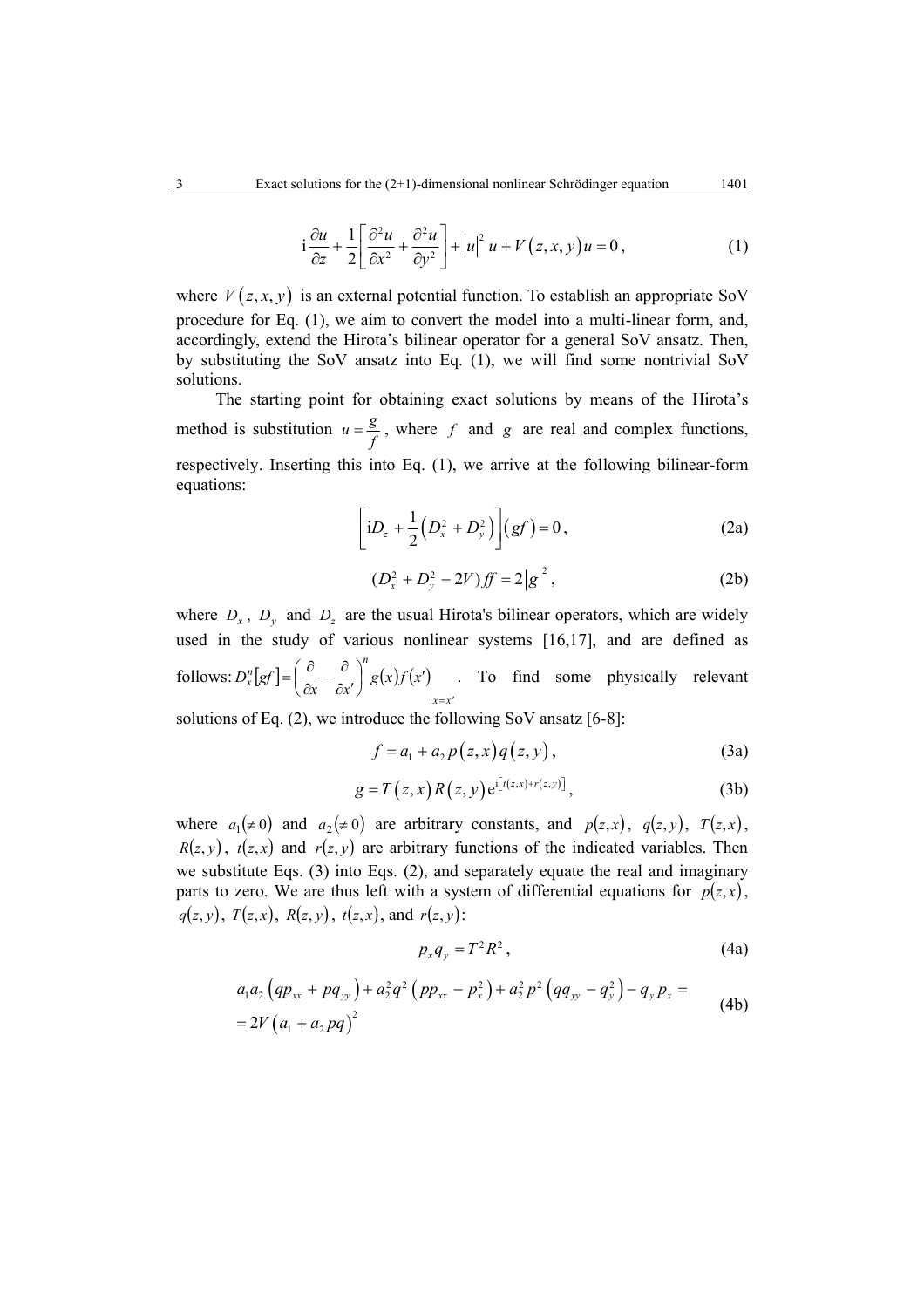$$
i\frac{\partial u}{\partial z} + \frac{1}{2} \left[ \frac{\partial^2 u}{\partial x^2} + \frac{\partial^2 u}{\partial y^2} \right] + |u|^2 u + V(z, x, y)u = 0,
$$
 (1)

where  $V(z, x, y)$  is an external potential function. To establish an appropriate SoV procedure for Eq. (1), we aim to convert the model into a multi-linear form, and, accordingly, extend the Hirota's bilinear operator for a general SoV ansatz. Then, by substituting the SoV ansatz into Eq. (1), we will find some nontrivial SoV solutions.

The starting point for obtaining exact solutions by means of the Hirota's method is substitution  $u = \frac{g}{f}$ , where *f* and *g* are real and complex functions, respectively. Inserting this into Eq. (1), we arrive at the following bilinear-form equations:

$$
\[iD_z + \frac{1}{2}(D_x^2 + D_y^2)\] (gf) = 0, \tag{2a}
$$

$$
(D_x^2 + D_y^2 - 2V) f f = 2|g|^2, \tag{2b}
$$

where  $D_x$ ,  $D_y$  and  $D_z$  are the usual Hirota's bilinear operators, which are widely used in the study of various nonlinear systems [16,17], and are defined as follows:  $D_x^n[gf] = \frac{0}{2} - \frac{0}{2}$   $|g(x)f(x')|$ *x x*  $D_x^n[gf] = \left(\frac{\partial}{\partial x} - \frac{\partial}{\partial x'}\right)^n g(x)f(x)$  $\left(\frac{\partial}{\partial x} - \frac{\partial}{\partial x'}\right)^n g(x)f(x')\Big|_{x=x'}$ l ſ  $=\left(\frac{\partial}{\partial x} - \frac{\partial}{\partial x'}\right)^n g(x)f(x')$  . To find some physically relevant

solutions of Eq. (2), we introduce the following SoV ansatz [6-8]:

$$
f = a_1 + a_2 p(z, x) q(z, y),
$$
 (3a)

$$
g = T(z, x) R(z, y) e^{i[t(z, x) + r(z, y)]}, \qquad (3b)
$$

where  $a_1 \neq 0$  and  $a_2 \neq 0$  are arbitrary constants, and  $p(z, x)$ ,  $q(z, y)$ ,  $T(z, x)$ ,  $R(z, y)$ ,  $t(z, x)$  and  $r(z, y)$  are arbitrary functions of the indicated variables. Then we substitute Eqs. (3) into Eqs. (2), and separately equate the real and imaginary parts to zero. We are thus left with a system of differential equations for  $p(z, x)$ ,  $q(z, y)$ ,  $T(z, x)$ ,  $R(z, y)$ ,  $t(z, x)$ , and  $r(z, y)$ :

$$
p_x q_y = T^2 R^2, \qquad (4a)
$$

$$
a_1 a_2 \left( qp_{xx} + pq_{yy} \right) + a_2^2 q^2 \left( pp_{xx} - p_x^2 \right) + a_2^2 p^2 \left( qq_{yy} - q_y^2 \right) - q_y p_x =
$$
  
= 
$$
2V \left( a_1 + a_2 pq \right)^2
$$
 (4b)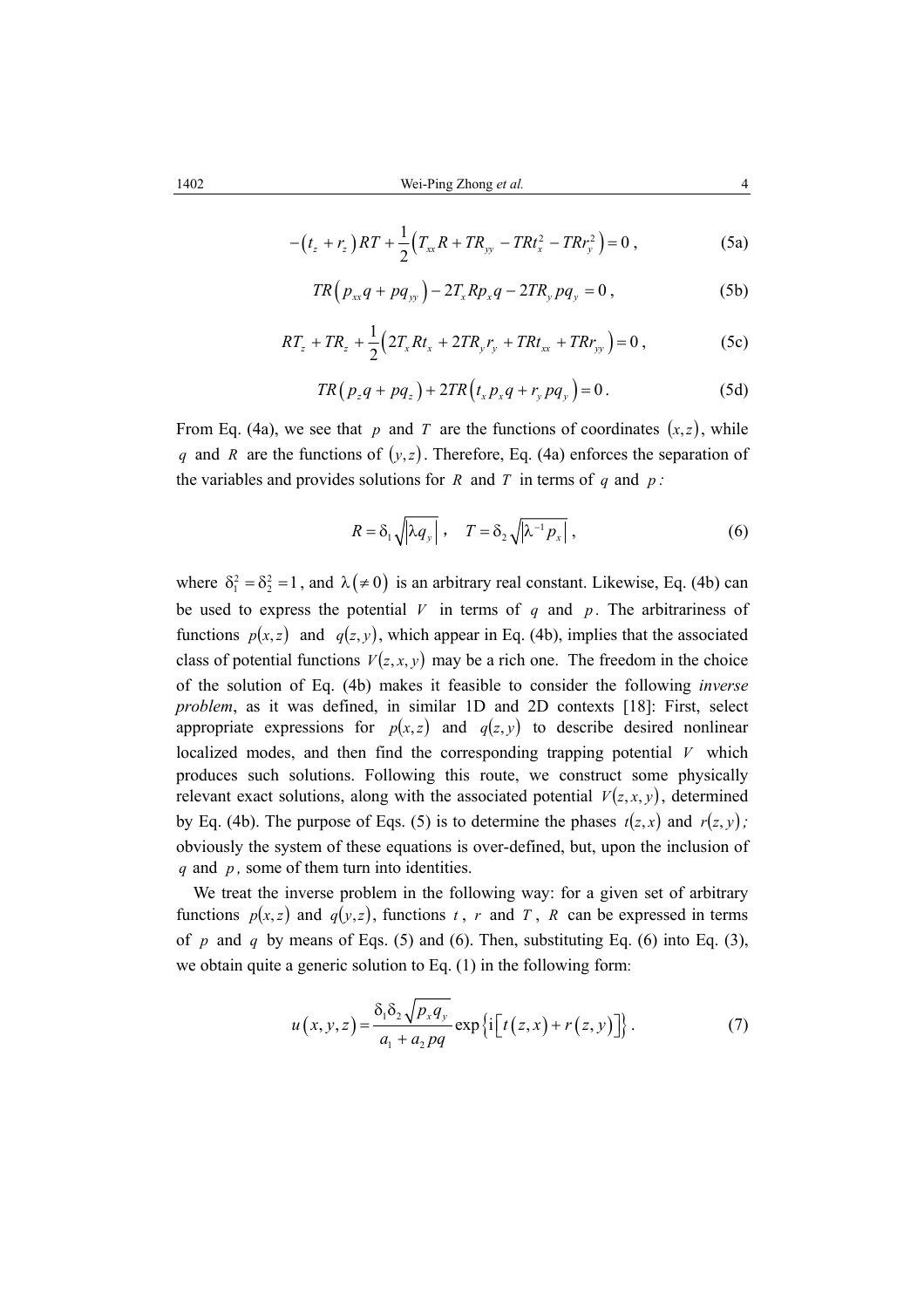$$
-(t_z + r_z)RT + \frac{1}{2}(T_{xx}R + TR_{yy} - TRt_x^2 - TRr_y^2) = 0,
$$
\n(5a)

$$
TR(p_{xx}q + pq_{yy}) - 2T_xRp_xq - 2TR_ypq_y = 0,
$$
 (5b)

$$
RT_z + TR_z + \frac{1}{2} \left( 2T_x R t_x + 2T R_y r_y + T R t_{xx} + T R r_{yy} \right) = 0 ,
$$
 (5c)

$$
TR\left(p_zq + pq_z\right) + 2TR\left(t_xp_xq + r_ypq_y\right) = 0.
$$
 (5d)

From Eq. (4a), we see that *p* and *T* are the functions of coordinates  $(x, z)$ , while *q* and *R* are the functions of  $(y, z)$ . Therefore, Eq. (4a) enforces the separation of the variables and provides solutions for *R* and *T* in terms of *q* and *p* :

$$
R = \delta_1 \sqrt{|\lambda q_y|} \,, \quad T = \delta_2 \sqrt{|\lambda^{-1} p_x|} \,, \tag{6}
$$

where  $\delta_1^2 = \delta_2^2 = 1$ , and  $\lambda (\neq 0)$  is an arbitrary real constant. Likewise, Eq. (4b) can be used to express the potential  $V$  in terms of  $q$  and  $p$ . The arbitrariness of functions  $p(x, z)$  and  $q(z, y)$ , which appear in Eq. (4b), implies that the associated class of potential functions  $V(z, x, y)$  may be a rich one. The freedom in the choice of the solution of Eq. (4b) makes it feasible to consider the following *inverse problem*, as it was defined, in similar 1D and 2D contexts [18]: First, select appropriate expressions for  $p(x, z)$  and  $q(z, y)$  to describe desired nonlinear localized modes, and then find the corresponding trapping potential *V* which produces such solutions. Following this route, we construct some physically relevant exact solutions, along with the associated potential  $V(z, x, y)$ , determined by Eq. (4b). The purpose of Eqs. (5) is to determine the phases  $t(z, x)$  and  $r(z, y)$ ; obviously the system of these equations is over-defined, but, upon the inclusion of *q* and *p ,* some of them turn into identities.

We treat the inverse problem in the following way: for a given set of arbitrary functions  $p(x, z)$  and  $q(y, z)$ , functions *t*, *r* and *T*, *R* can be expressed in terms of  $p$  and  $q$  by means of Eqs. (5) and (6). Then, substituting Eq. (6) into Eq. (3), we obtain quite a generic solution to Eq. (1) in the following form:

$$
u(x, y, z) = \frac{\delta_1 \delta_2 \sqrt{p_x q_y}}{a_1 + a_2 pq} \exp\left\{i \left[t(z, x) + r(z, y)\right]\right\}.
$$
 (7)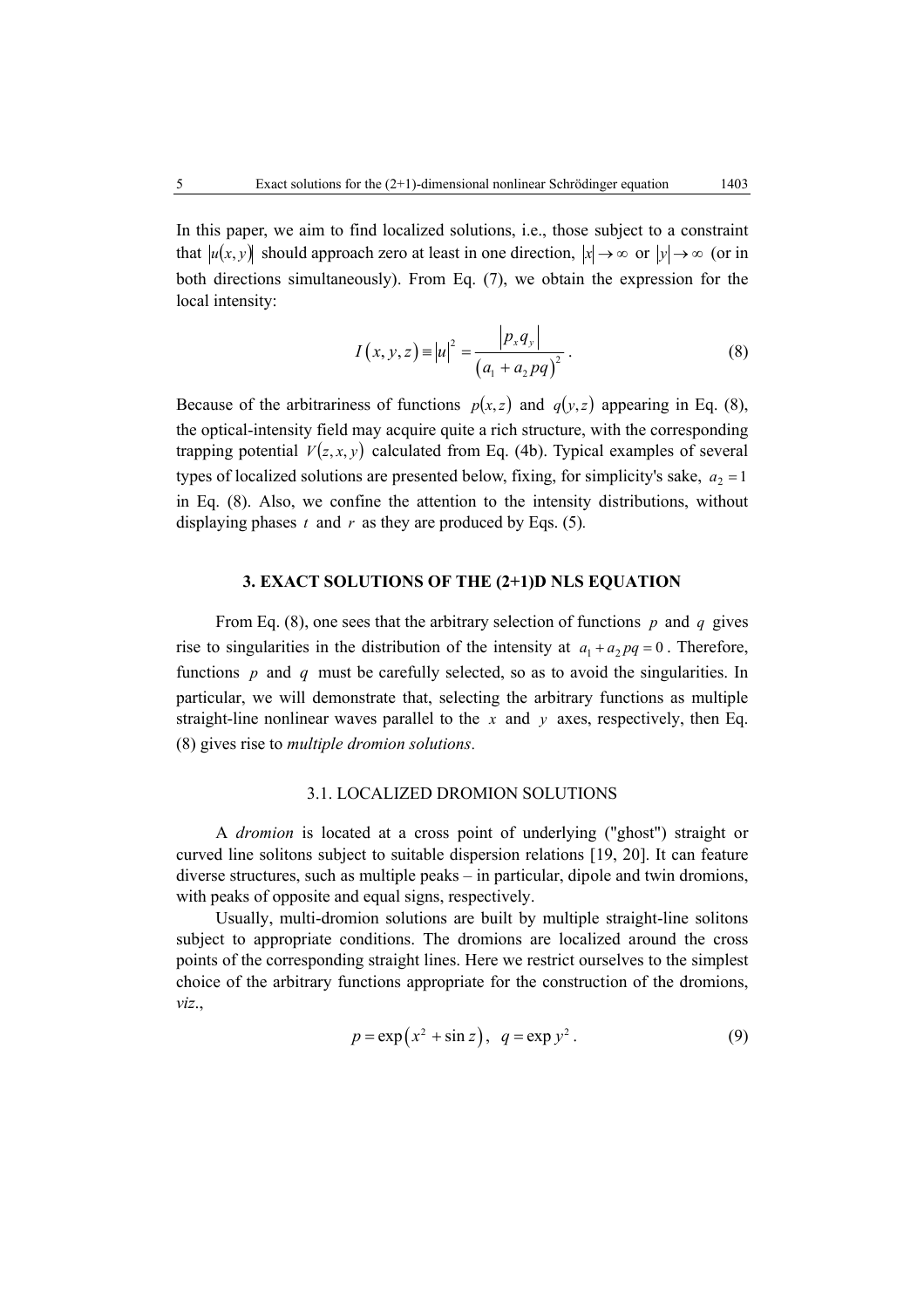In this paper, we aim to find localized solutions, i.e., those subject to a constraint that  $|u(x, y)|$  should approach zero at least in one direction,  $|x| \to \infty$  or  $|y| \to \infty$  (or in both directions simultaneously). From Eq. (7), we obtain the expression for the local intensity:

$$
I(x, y, z) = |u|^2 = \frac{|p_x q_y|}{(a_1 + a_2 pq)^2}.
$$
 (8)

Because of the arbitrariness of functions  $p(x, z)$  and  $q(y, z)$  appearing in Eq. (8), the optical-intensity field may acquire quite a rich structure, with the corresponding trapping potential  $V(z, x, y)$  calculated from Eq. (4b). Typical examples of several types of localized solutions are presented below, fixing, for simplicity's sake,  $a_2 = 1$ in Eq. (8). Also, we confine the attention to the intensity distributions, without displaying phases  $t$  and  $r$  as they are produced by Eqs. (5).

## **3. EXACT SOLUTIONS OF THE (2+1)D NLS EQUATION**

From Eq. (8), one sees that the arbitrary selection of functions *p* and *q* gives rise to singularities in the distribution of the intensity at  $a_1 + a_2 pq = 0$ . Therefore, functions *p* and *q* must be carefully selected, so as to avoid the singularities. In particular, we will demonstrate that, selecting the arbitrary functions as multiple straight-line nonlinear waves parallel to the *x* and *y* axes, respectively, then Eq. (8) gives rise to *multiple dromion solutions*.

#### 3.1. LOCALIZED DROMION SOLUTIONS

A *dromion* is located at a cross point of underlying ("ghost") straight or curved line solitons subject to suitable dispersion relations [19, 20]. It can feature diverse structures, such as multiple peaks – in particular, dipole and twin dromions, with peaks of opposite and equal signs, respectively.

Usually, multi-dromion solutions are built by multiple straight-line solitons subject to appropriate conditions. The dromions are localized around the cross points of the corresponding straight lines. Here we restrict ourselves to the simplest choice of the arbitrary functions appropriate for the construction of the dromions, *viz*.,

$$
p = \exp(x^2 + \sin z), q = \exp y^2.
$$
 (9)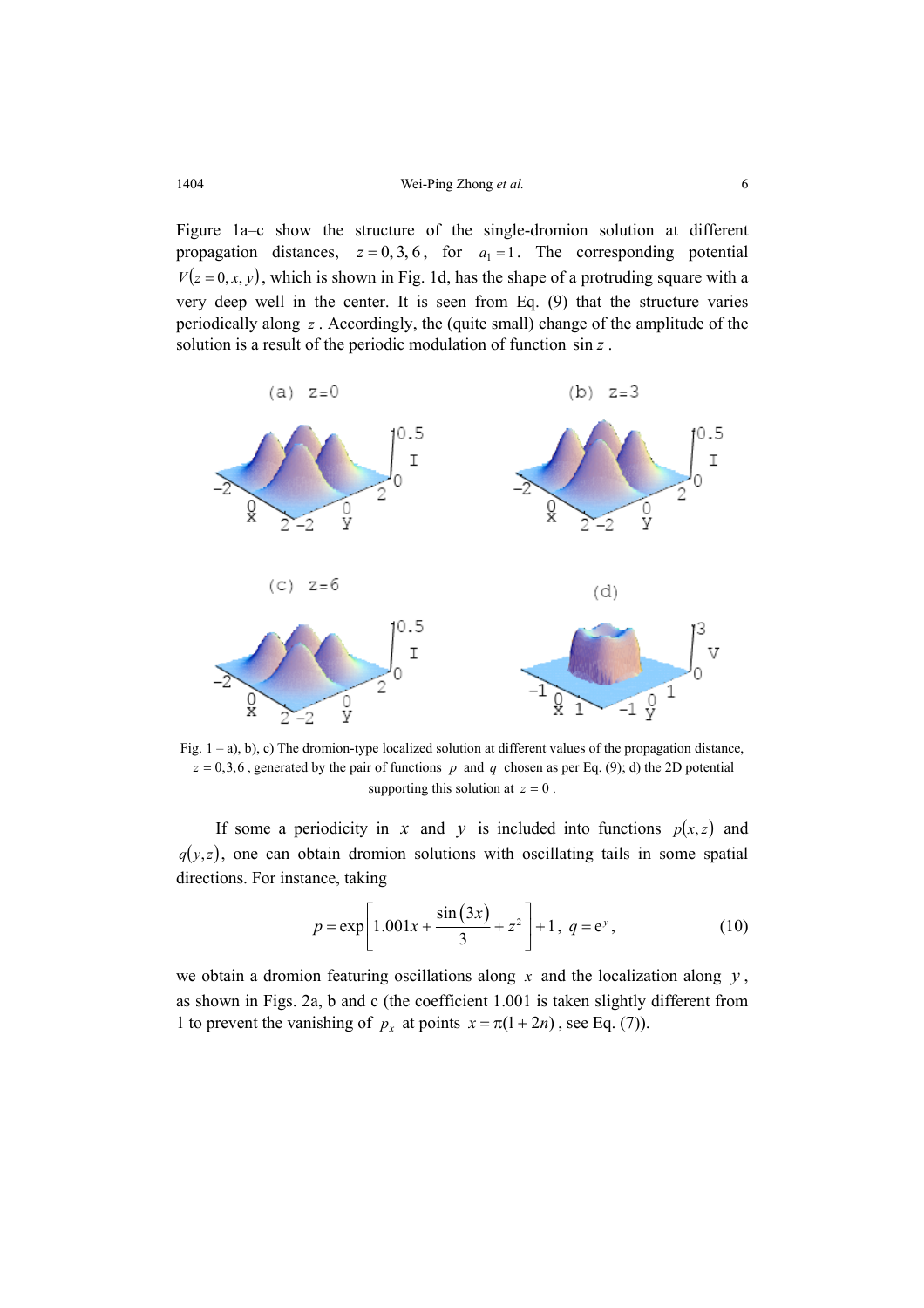Figure 1a–c show the structure of the single-dromion solution at different propagation distances,  $z = 0, 3, 6$ , for  $a_1 = 1$ . The corresponding potential  $V(z = 0, x, y)$ , which is shown in Fig. 1d, has the shape of a protruding square with a very deep well in the center. It is seen from Eq. (9) that the structure varies periodically along *z* . Accordingly, the (quite small) change of the amplitude of the solution is a result of the periodic modulation of function sin *z* .



Fig. 1 – a), b), c) The dromion-type localized solution at different values of the propagation distance,  $z = 0,3,6$ , generated by the pair of functions *p* and *q* chosen as per Eq. (9); d) the 2D potential supporting this solution at  $z = 0$ .

If some a periodicity in *x* and *y* is included into functions  $p(x, z)$  and  $q(y, z)$ , one can obtain dromion solutions with oscillating tails in some spatial directions. For instance, taking

$$
p = \exp\left[1.001x + \frac{\sin(3x)}{3} + z^2\right] + 1, \ q = e^y,
$$
 (10)

we obtain a dromion featuring oscillations along *x* and the localization along *y* , as shown in Figs. 2a, b and c (the coefficient 1.001 is taken slightly different from 1 to prevent the vanishing of  $p_x$  at points  $x = \pi (1 + 2n)$ , see Eq. (7)).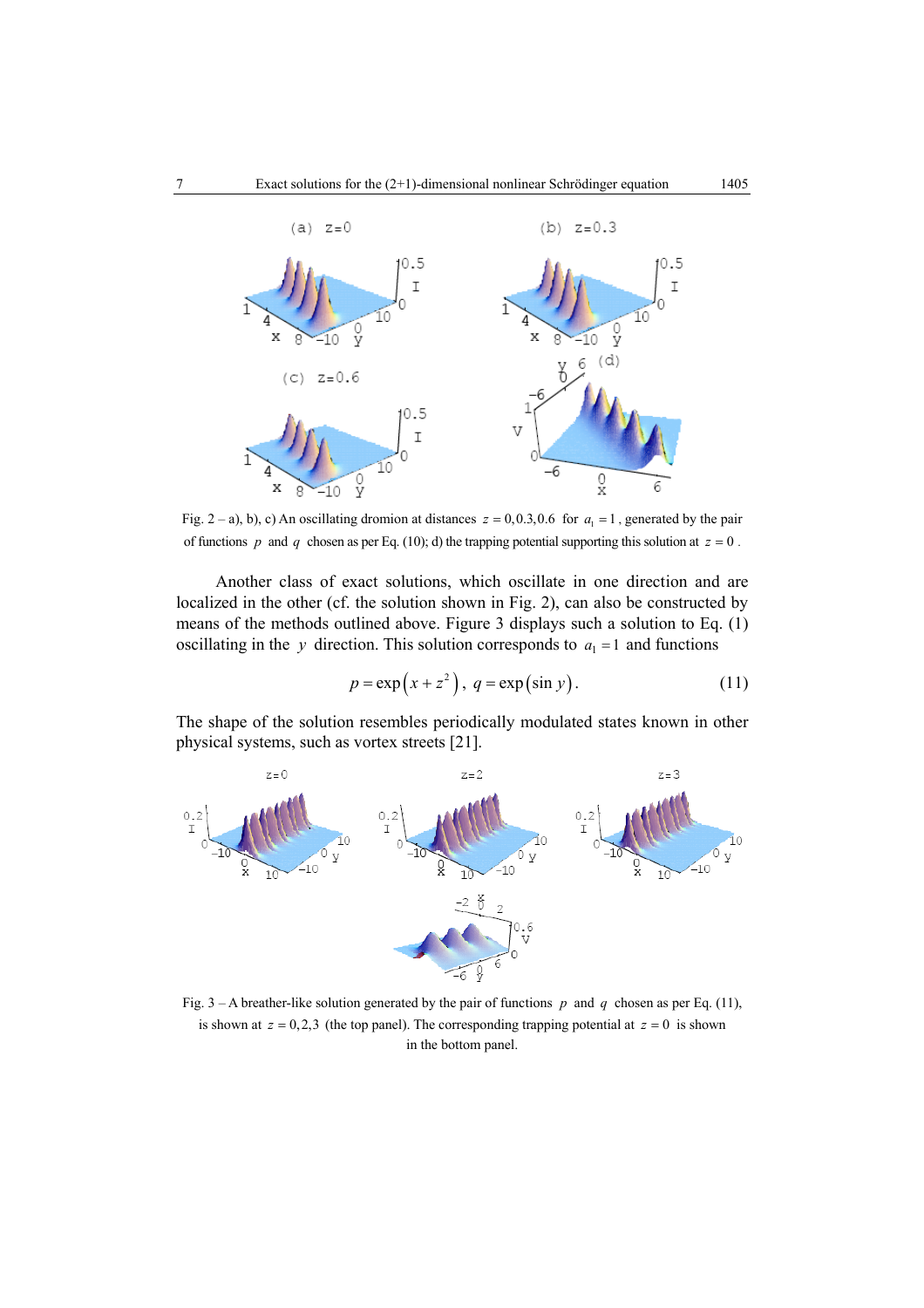

Fig. 2 – a), b), c) An oscillating dromion at distances  $z = 0, 0.3, 0.6$  for  $a_1 = 1$ , generated by the pair of functions *p* and *q* chosen as per Eq. (10); d) the trapping potential supporting this solution at  $z = 0$ .

Another class of exact solutions, which oscillate in one direction and are localized in the other (cf. the solution shown in Fig. 2), can also be constructed by means of the methods outlined above. Figure 3 displays such a solution to Eq. (1) oscillating in the *y* direction. This solution corresponds to  $a_1 = 1$  and functions

$$
p = \exp(x + z^2), \ q = \exp(\sin y).
$$
 (11)

The shape of the solution resembles periodically modulated states known in other physical systems, such as vortex streets [21].



Fig. 3 – A breather-like solution generated by the pair of functions *p* and *q* chosen as per Eq. (11), is shown at  $z = 0,2,3$  (the top panel). The corresponding trapping potential at  $z = 0$  is shown in the bottom panel.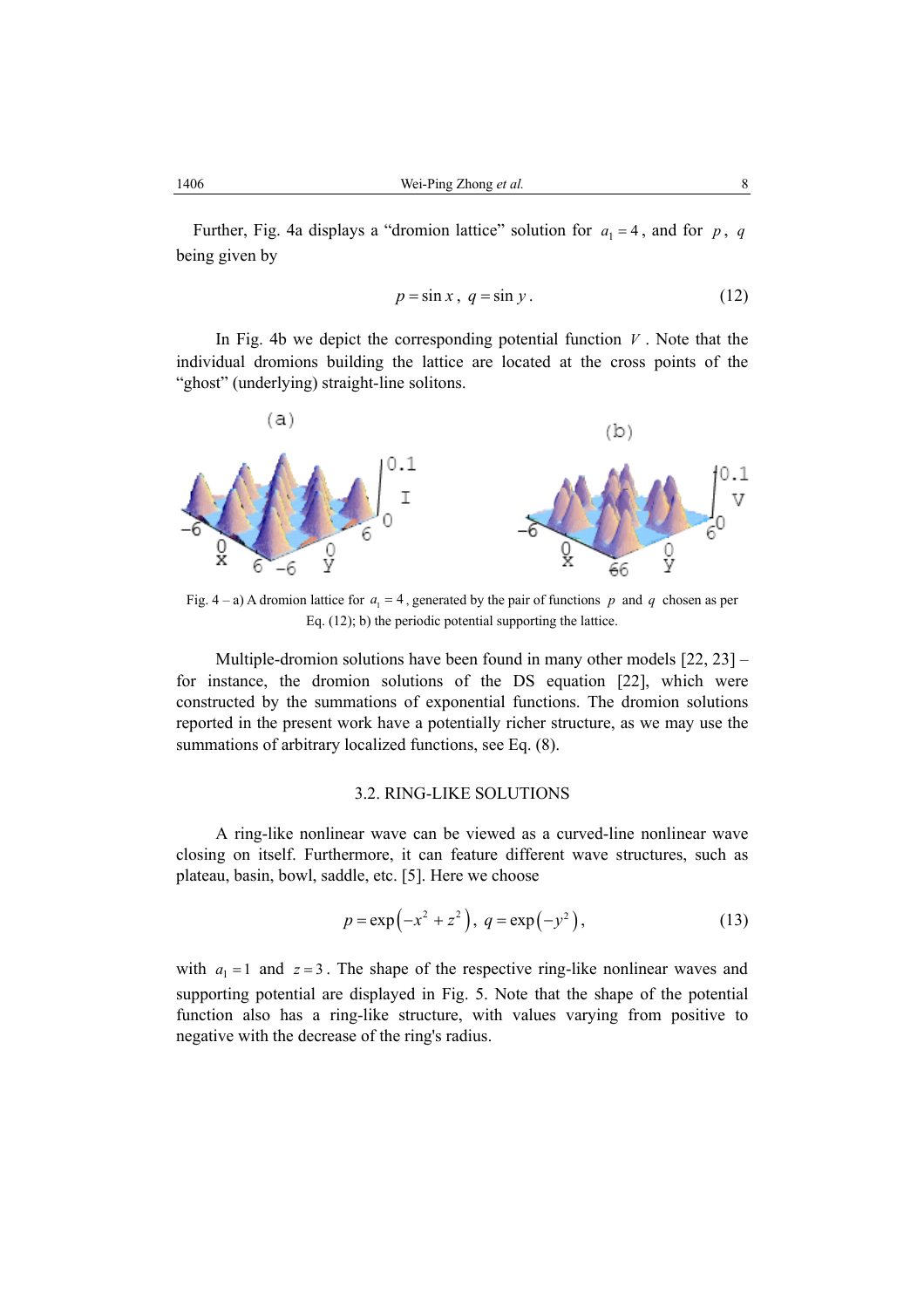Further, Fig. 4a displays a "dromion lattice" solution for  $a_1 = 4$ , and for p, q being given by

$$
p = \sin x, \ q = \sin y. \tag{12}
$$

In Fig. 4b we depict the corresponding potential function  $V$ . Note that the individual dromions building the lattice are located at the cross points of the "ghost" (underlying) straight-line solitons.



Fig.  $4 - a$ ) A dromion lattice for  $a_1 = 4$ , generated by the pair of functions p and q chosen as per Eq. (12); b) the periodic potential supporting the lattice.

Multiple-dromion solutions have been found in many other models [22, 23] – for instance, the dromion solutions of the DS equation [22], which were constructed by the summations of exponential functions. The dromion solutions reported in the present work have a potentially richer structure, as we may use the summations of arbitrary localized functions, see Eq. (8).

#### 3.2. RING-LIKE SOLUTIONS

A ring-like nonlinear wave can be viewed as a curved-line nonlinear wave closing on itself. Furthermore, it can feature different wave structures, such as plateau, basin, bowl, saddle, etc. [5]. Here we choose

$$
p = \exp(-x^2 + z^2), \ q = \exp(-y^2), \tag{13}
$$

with  $a_1 = 1$  and  $z = 3$ . The shape of the respective ring-like nonlinear waves and supporting potential are displayed in Fig. 5. Note that the shape of the potential function also has a ring-like structure, with values varying from positive to negative with the decrease of the ring's radius.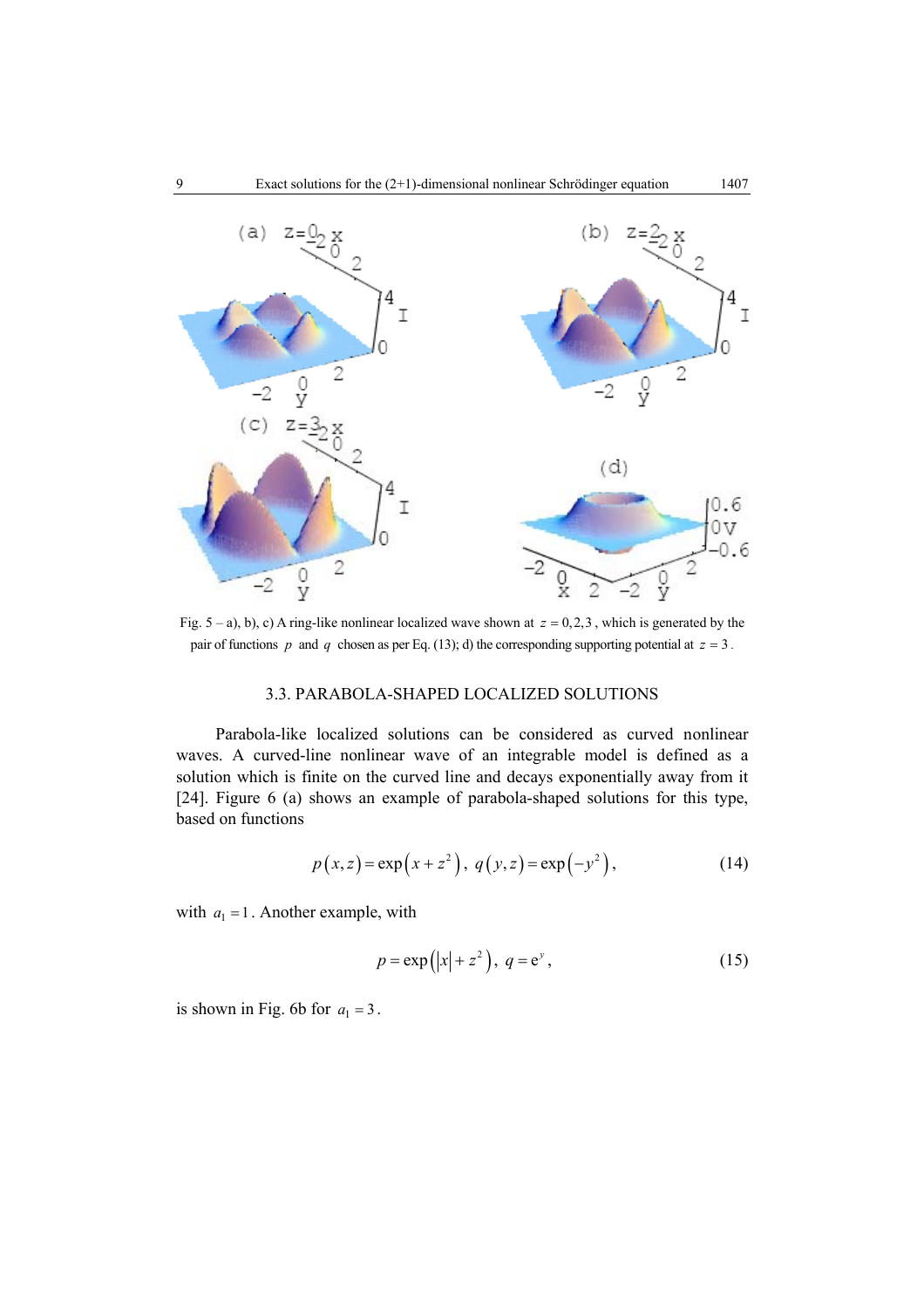

Fig.  $5 - a$ ), b), c) A ring-like nonlinear localized wave shown at  $z = 0,2,3$ , which is generated by the pair of functions *p* and *q* chosen as per Eq. (13); d) the corresponding supporting potential at  $z = 3$ .

## 3.3. PARABOLA-SHAPED LOCALIZED SOLUTIONS

Parabola-like localized solutions can be considered as curved nonlinear waves. A curved-line nonlinear wave of an integrable model is defined as a solution which is finite on the curved line and decays exponentially away from it [24]. Figure 6 (a) shows an example of parabola-shaped solutions for this type, based on functions

$$
p(x, z) = \exp(x + z^2), q(y, z) = \exp(-y^2),
$$
 (14)

with  $a_1 = 1$ . Another example, with

$$
p = \exp(|x| + z^2), \ q = e^y,
$$
 (15)

is shown in Fig. 6b for  $a_1 = 3$ .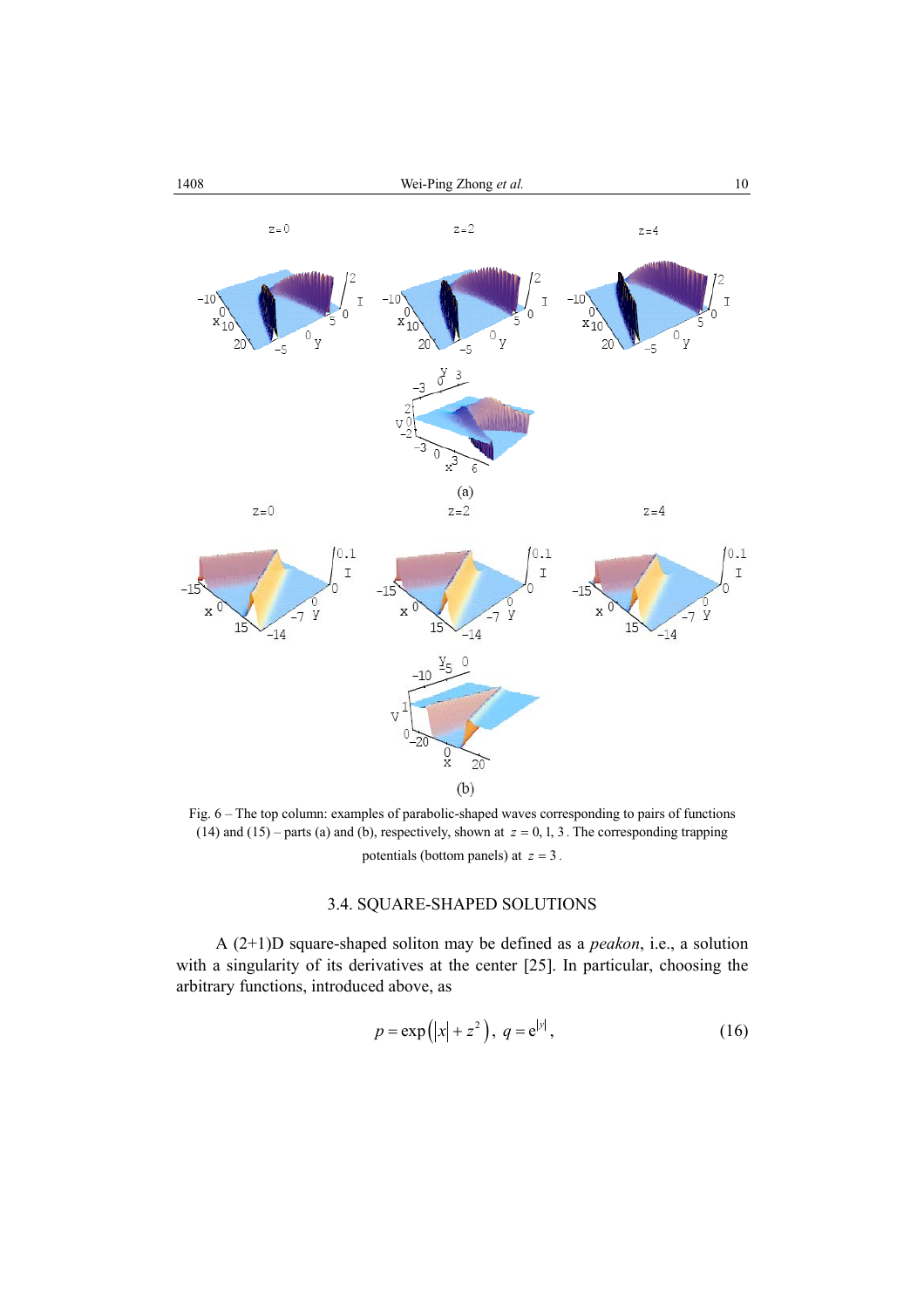

Fig. 6 – The top column: examples of parabolic-shaped waves corresponding to pairs of functions (14) and (15) – parts (a) and (b), respectively, shown at  $z = 0, 1, 3$ . The corresponding trapping potentials (bottom panels) at  $z = 3$ .

## 3.4. SQUARE-SHAPED SOLUTIONS

A (2+1)D square-shaped soliton may be defined as a *peakon*, i.e., a solution with a singularity of its derivatives at the center [25]. In particular, choosing the arbitrary functions, introduced above, as

$$
p = \exp(|x| + z^2), \ q = e^{|y|}, \tag{16}
$$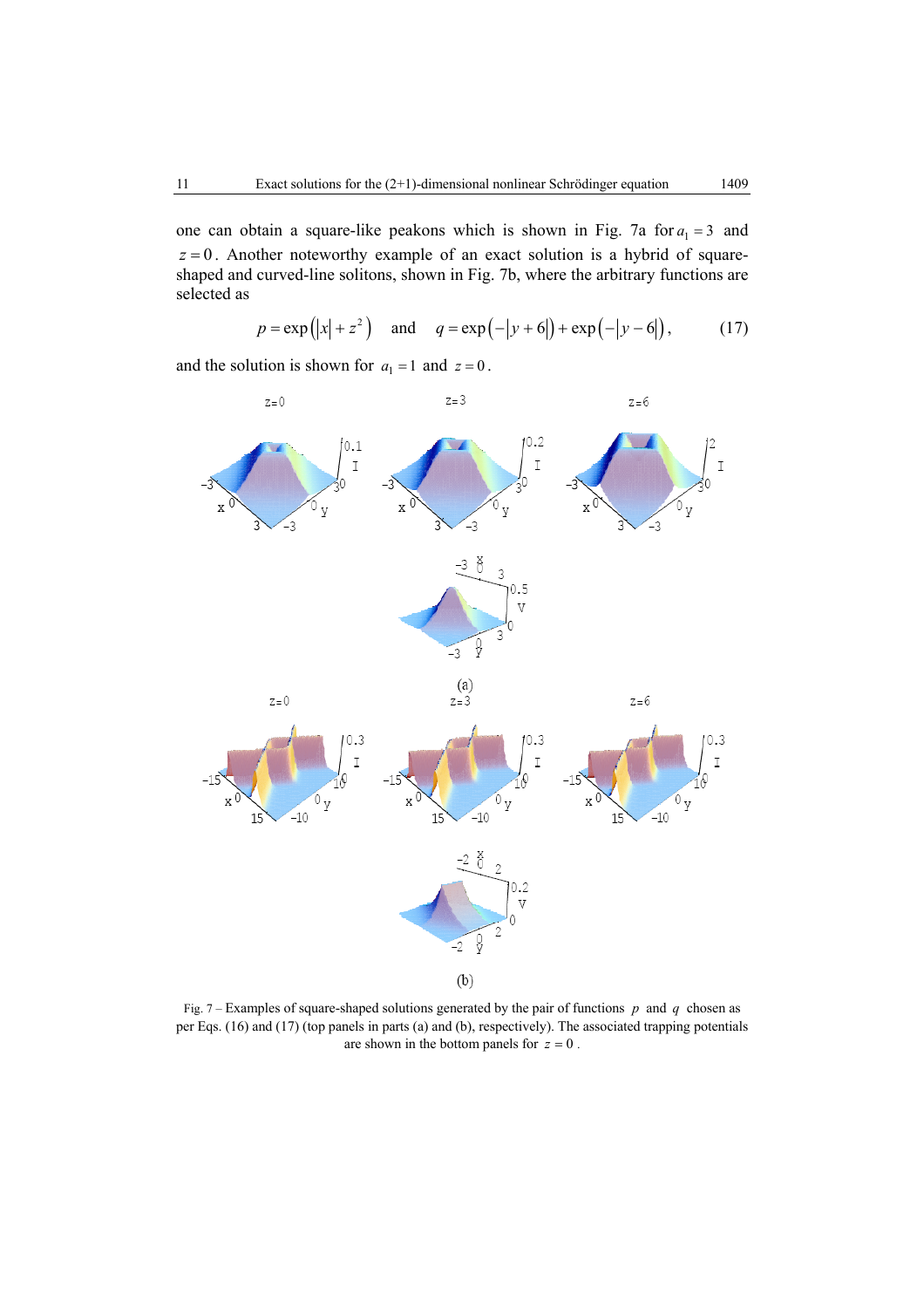one can obtain a square-like peakons which is shown in Fig. 7a for  $a_1 = 3$  and  $z = 0$ . Another noteworthy example of an exact solution is a hybrid of squareshaped and curved-line solitons, shown in Fig. 7b, where the arbitrary functions are selected as

$$
p = \exp(|x| + z^2)
$$
 and  $q = \exp(-|y + 6|) + \exp(-|y - 6|)$ , (17)

 $z=0$  $z = 3$  $z = 6$  $0.2$  $0.1$  $\bar{1}$  $\mathbb I$ о<br>У  $\rm X$ y y  $\overline{V}$ -3 -3 -3 -3 ð  $\overline{3}$  $0.5$  $\overline{V}$ Λ 3 ŷ  $\mathcal{L}_{3}$  $(a)$  $z=0$  $z = 3$  $z = 6$  $0.3$  $0.3$  $0.3$ Ī  $\bar{1}$ I O O y  $\sigma_{\rm y}$ y  $-10$  $-10$  $-10$  $15$ 15  $\frac{0.2}{V}$ Ş  $-2$  $(b)$ 

and the solution is shown for  $a_1 = 1$  and  $z = 0$ .

Fig. 7 – Examples of square-shaped solutions generated by the pair of functions *p* and *q* chosen as per Eqs. (16) and (17) (top panels in parts (a) and (b), respectively). The associated trapping potentials are shown in the bottom panels for  $z = 0$ .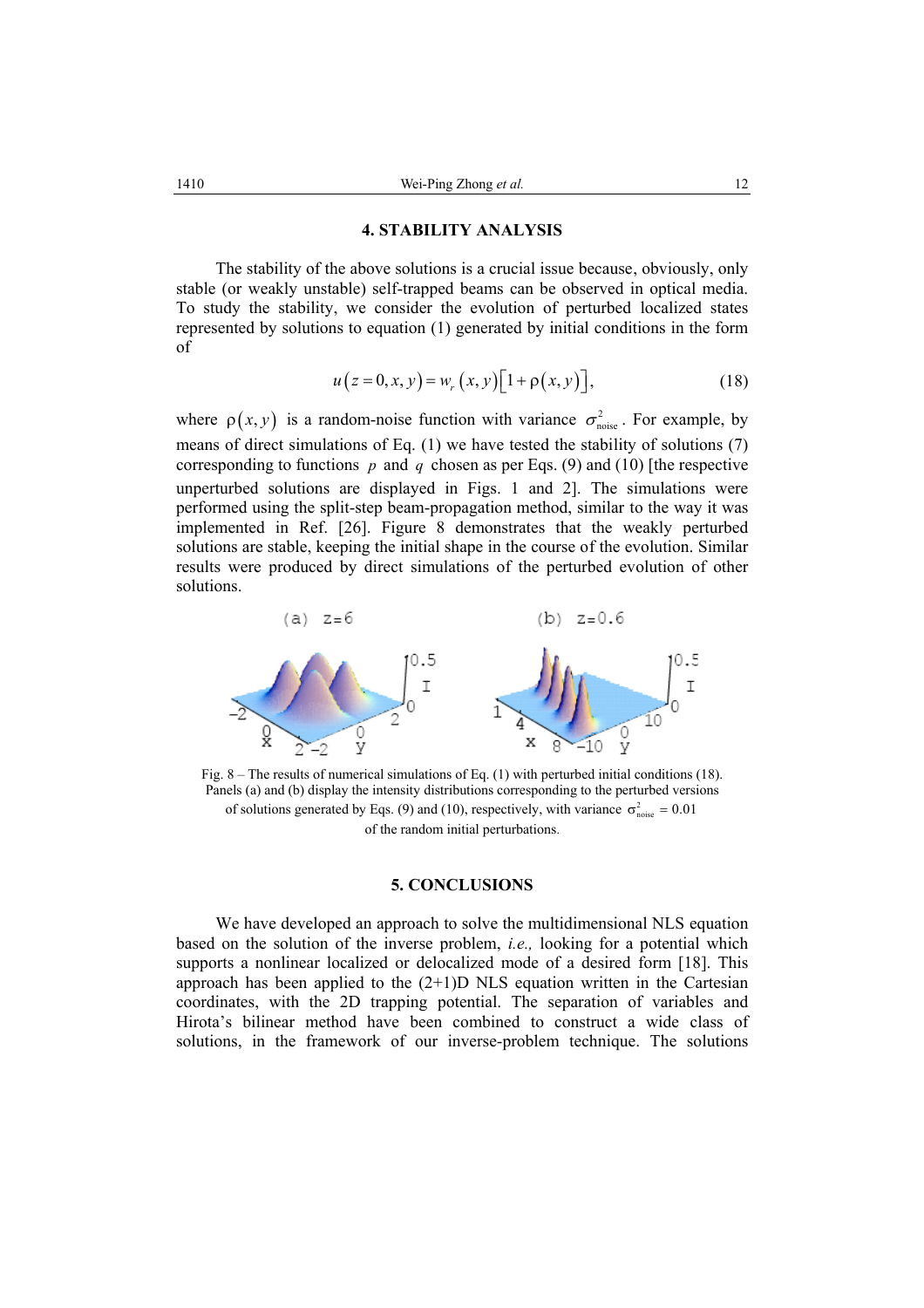### **4. STABILITY ANALYSIS**

The stability of the above solutions is a crucial issue because, obviously, only stable (or weakly unstable) self-trapped beams can be observed in optical media. To study the stability, we consider the evolution of perturbed localized states represented by solutions to equation (1) generated by initial conditions in the form of

$$
u(z = 0, x, y) = w_r(x, y)[1 + \rho(x, y)],
$$
\n(18)

where  $\rho(x, y)$  is a random-noise function with variance  $\sigma_{\text{noise}}^2$ . For example, by means of direct simulations of Eq. (1) we have tested the stability of solutions (7) corresponding to functions  $p$  and  $q$  chosen as per Eqs. (9) and (10) [the respective unperturbed solutions are displayed in Figs. 1 and 2]. The simulations were performed using the split-step beam-propagation method, similar to the way it was implemented in Ref. [26]. Figure 8 demonstrates that the weakly perturbed solutions are stable, keeping the initial shape in the course of the evolution. Similar results were produced by direct simulations of the perturbed evolution of other solutions.



Fig. 8 – The results of numerical simulations of Eq. (1) with perturbed initial conditions (18). Panels (a) and (b) display the intensity distributions corresponding to the perturbed versions of solutions generated by Eqs. (9) and (10), respectively, with variance  $\sigma_{\text{noise}}^2 = 0.01$ of the random initial perturbations.

#### **5. CONCLUSIONS**

We have developed an approach to solve the multidimensional NLS equation based on the solution of the inverse problem, *i.e.,* looking for a potential which supports a nonlinear localized or delocalized mode of a desired form [18]. This approach has been applied to the  $(2+1)D$  NLS equation written in the Cartesian coordinates, with the 2D trapping potential. The separation of variables and Hirota's bilinear method have been combined to construct a wide class of solutions, in the framework of our inverse-problem technique. The solutions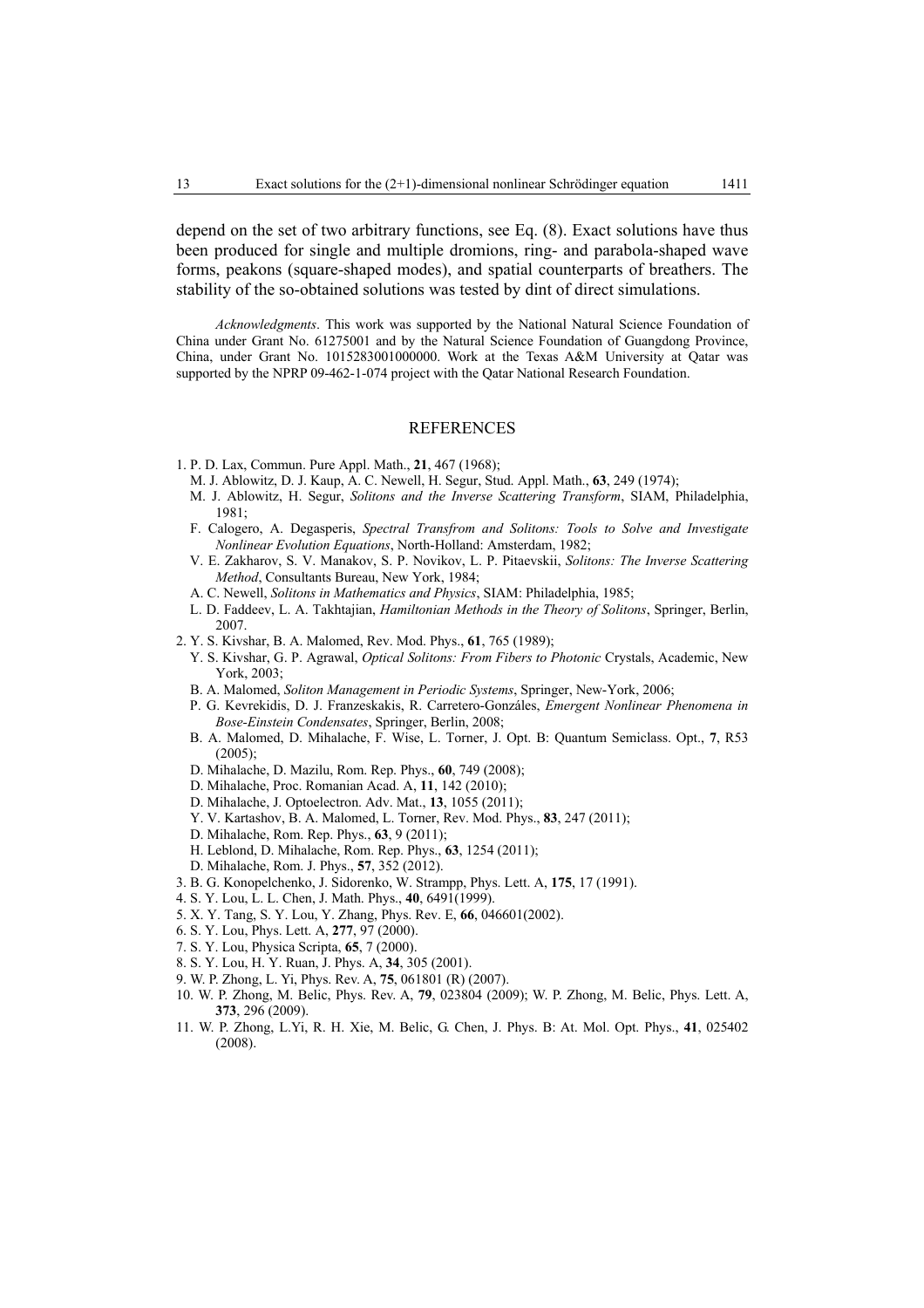depend on the set of two arbitrary functions, see Eq. (8). Exact solutions have thus been produced for single and multiple dromions, ring- and parabola-shaped wave forms, peakons (square-shaped modes), and spatial counterparts of breathers. The stability of the so-obtained solutions was tested by dint of direct simulations.

*Acknowledgments*. This work was supported by the National Natural Science Foundation of China under Grant No. 61275001 and by the Natural Science Foundation of Guangdong Province, China, under Grant No. 1015283001000000. Work at the Texas A&M University at Qatar was supported by the NPRP 09-462-1-074 project with the Qatar National Research Foundation.

#### REFERENCES

- 1. P. D. Lax, Commun. Pure Appl. Math., **21**, 467 (1968);
- M. J. Ablowitz, D. J. Kaup, A. C. Newell, H. Segur, Stud. Appl. Math., **63**, 249 (1974);
- M. J. Ablowitz, H. Segur, *Solitons and the Inverse Scattering Transform*, SIAM, Philadelphia, 1981;
- F. Calogero, A. Degasperis, *Spectral Transfrom and Solitons: Tools to Solve and Investigate Nonlinear Evolution Equations*, North-Holland: Amsterdam, 1982;
- V. E. Zakharov, S. V. Manakov, S. P. Novikov, L. P. Pitaevskii, *Solitons: The Inverse Scattering Method*, Consultants Bureau, New York, 1984;
- A. C. Newell, *Solitons in Mathematics and Physics*, SIAM: Philadelphia, 1985;
- L. D. Faddeev, L. A. Takhtajian, *Hamiltonian Methods in the Theory of Solitons*, Springer, Berlin, 2007.
- 2. Y. S. Kivshar, B. A. Malomed, Rev. Mod. Phys., **61**, 765 (1989);
	- Y. S. Kivshar, G. P. Agrawal, *Optical Solitons: From Fibers to Photonic* Crystals, Academic, New York, 2003;
	- B. A. Malomed, *Soliton Management in Periodic Systems*, Springer, New-York, 2006;
	- P. G. Kevrekidis, D. J. Franzeskakis, R. Carretero-Gonzáles, *Emergent Nonlinear Phenomena in Bose-Einstein Condensates*, Springer, Berlin, 2008;
	- B. A. Malomed, D. Mihalache, F. Wise, L. Torner, J. Opt. B: Quantum Semiclass. Opt., **7**, R53  $(2005)$ :
	- D. Mihalache, D. Mazilu, Rom. Rep. Phys., **60**, 749 (2008);
	- D. Mihalache, Proc. Romanian Acad. A, **11**, 142 (2010);
	- D. Mihalache, J. Optoelectron. Adv. Mat., **13**, 1055 (2011);
	- Y. V. Kartashov, B. A. Malomed, L. Torner, Rev. Mod. Phys., **83**, 247 (2011);
	- D. Mihalache, Rom. Rep. Phys., **63**, 9 (2011);
	- H. Leblond, D. Mihalache, Rom. Rep. Phys., **63**, 1254 (2011);
	- D. Mihalache, Rom. J. Phys., **57**, 352 (2012).
- 3. B. G. Konopelchenko, J. Sidorenko, W. Strampp, Phys. Lett. A, **175**, 17 (1991).
- 4. S. Y. Lou, L. L. Chen, J. Math. Phys., **40**, 6491(1999).
- 5. X. Y. Tang, S. Y. Lou, Y. Zhang, Phys. Rev. E, **66**, 046601(2002).
- 6. S. Y. Lou, Phys. Lett. A, **277**, 97 (2000).
- 7. S. Y. Lou, Physica Scripta, **65**, 7 (2000).
- 8. S. Y. Lou, H. Y. Ruan, J. Phys. A, **34**, 305 (2001).
- 9. W. P. Zhong, L. Yi, Phys. Rev. A, **75**, 061801 (R) (2007).
- 10. W. P. Zhong, M. Belic, Phys. Rev. A, **79**, 023804 (2009); W. P. Zhong, M. Belic, Phys. Lett. A, **373**, 296 (2009).
- 11. W. P. Zhong, L.Yi, R. H. Xie, M. Belic, G. Chen, J. Phys. B: At. Mol. Opt. Phys., **41**, 025402 (2008).